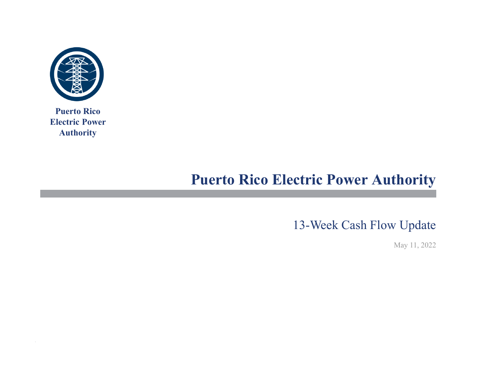

**Puerto Rico Electric Power Authority**

# **Puerto Rico Electric Power Authority**

13-Week Cash Flow Update

May 11, 2022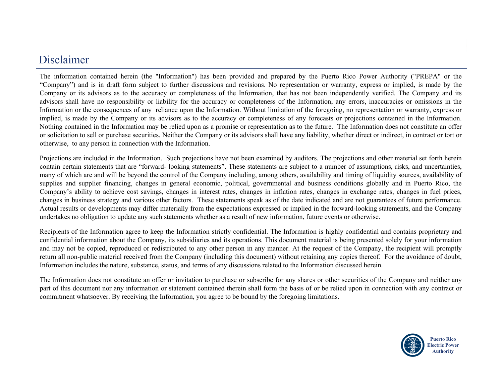#### Disclaimer

The information contained herein (the "Information") has been provided and prepared by the Puerto Rico Power Authority ("PREPA" or the "Company") and is in draft form subject to further discussions and revisions. No representation or warranty, express or implied, is made by the Company or its advisors as to the accuracy or completeness of the Information, that has not been independently verified. The Company and its advisors shall have no responsibility or liability for the accuracy or completeness of the Information, any errors, inaccuracies or omissions in the Information or the consequences of any reliance upon the Information. Without limitation of the foregoing, no representation or warranty, express or implied, is made by the Company or its advisors as to the accuracy or completeness of any forecasts or projections contained in the Information. Nothing contained in the Information may be relied upon as <sup>a</sup> promise or representation as to the future. The Information does not constitute an offer or solicitation to sell or purchase securities. Neither the Company or its advisors shall have any liability, whether direct or indirect, in contract or tort or otherwise, to any person in connection with the Information.

Projections are included in the Information. Such projections have not been examined by auditors. The projections and other material set forth herein contain certain statements that are "forward- looking statements". These statements are subject to <sup>a</sup> number of assumptions, risks, and uncertainties, many of which are and will be beyond the control of the Company including, among others, availability and timing of liquidity sources, availability of supplies and supplier financing, changes in general economic, political, governmental and business conditions globally and in Puerto Rico, the Company's ability to achieve cost savings, changes in interest rates, changes in inflation rates, changes in exchange rates, changes in fuel prices, changes in business strategy and various other factors. These statements speak as of the date indicated and are not guarantees of future performance. Actual results or developments may differ materially from the expectations expressed or implied in the forward-looking statements, and the Company undertakes no obligation to update any such statements whether as <sup>a</sup> result of new information, future events or otherwise.

Recipients of the Information agree to keep the Information strictly confidential. The Information is highly confidential and contains proprietary and confidential information about the Company, its subsidiaries and its operations. This document material is being presented solely for your information and may not be copied, reproduced or redistributed to any other person in any manner. At the reques<sup>t</sup> of the Company, the recipient will promptly return all non-public material received from the Company (including this document) without retaining any copies thereof. For the avoidance of doubt, Information includes the nature, substance, status, and terms of any discussions related to the Information discussed herein.

The Information does not constitute an offer or invitation to purchase or subscribe for any shares or other securities of the Company and neither any part of this document nor any information or statement contained therein shall form the basis of or be relied upon in connection with any contract or commitment whatsoever. By receiving the Information, you agree to be bound by the foregoing limitations.

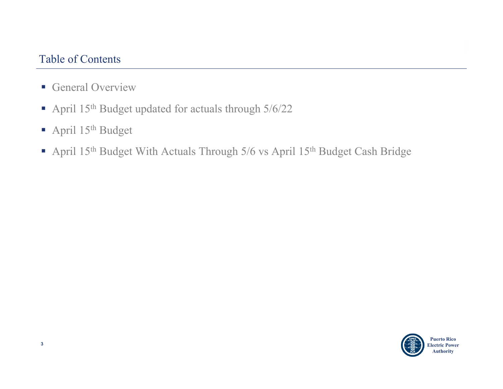#### Table of Contents

- **General Overview**
- April 15<sup>th</sup> Budget updated for actuals through 5/6/22
- April 15<sup>th</sup> Budget
- April 15<sup>th</sup> Budget With Actuals Through 5/6 vs April 15<sup>th</sup> Budget Cash Bridge

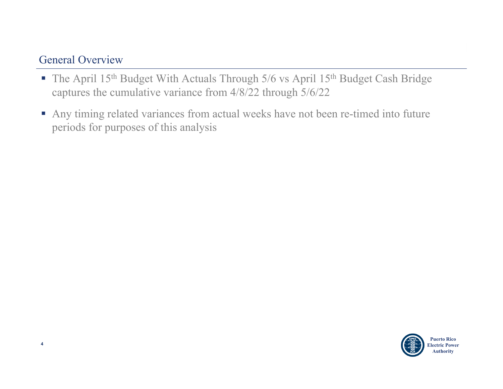### General Overview

- The April  $15<sup>th</sup>$  Budget With Actuals Through 5/6 vs April  $15<sup>th</sup>$  Budget Cash Bridge captures the cumulative variance from 4/8/22 through 5/6/22
- Any timing related variances from actual weeks have not been re-timed into future periods for purposes of this analysis

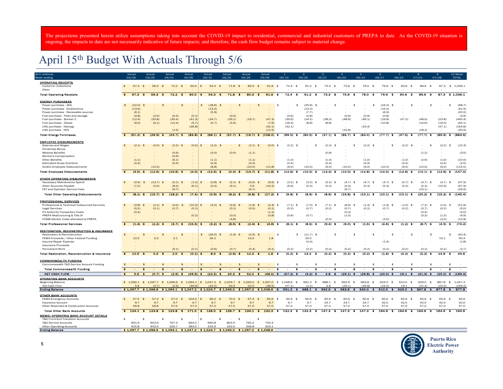The projections presented herein utilize assumptions taking into account the COVID-19 impact to residential, commercial and industrial customers of PREPA to date. As the COVID-19 situation is ongoing, the impacts to date are not necessarily indicative of future impacts; and therefore, the cash flow budget remains subject to material change.

## April 15th Budget With Actuals Through 5/6

| (\$ in millions)                                                                 |                    | Actual                      | Actual                            | Actual                                                                                                                     | Actual                   | Actual                                         | Actual                         | Actual                                      | Actual               |                                   | $\overline{2}$              | -3                              |                                 | -5                                    | $6\overline{6}$               |                             | 8                                                    |                            | 13 Week         |
|----------------------------------------------------------------------------------|--------------------|-----------------------------|-----------------------------------|----------------------------------------------------------------------------------------------------------------------------|--------------------------|------------------------------------------------|--------------------------------|---------------------------------------------|----------------------|-----------------------------------|-----------------------------|---------------------------------|---------------------------------|---------------------------------------|-------------------------------|-----------------------------|------------------------------------------------------|----------------------------|-----------------|
| Week ending                                                                      |                    | 03/18                       | 03/25                             | 04/01                                                                                                                      | 04/08                    | 04/15                                          | 04/22                          | 04/29                                       | 05/06                | 05/13                             | 05/20                       | 05/27                           | 06/03                           | 06/10                                 | 06/17                         | 06/24                       | 07/01                                                | 07/08                      | <b>TOTAL</b>    |
| <b>OPERATING RECEIPTS</b><br><b>Customer Collections</b><br>Other                | \$                 | 67.3<br>\$                  | 56.3                              | $72.2$ \$<br>$\mathbf{\hat{z}}$                                                                                            | 60.0                     | \$<br>54.3<br>\$                               | 71.8<br>$\mathbf{\hat{A}}$     | 80.3<br>$\mathbf{\hat{A}}$                  | 91.9<br><b>\$</b>    | 72.4<br>$\mathbf{\hat{S}}$        | 91.2<br>$\mathbf{\hat{z}}$  | 73.3<br>\$                      | 75.6<br>$\mathbf{\hat{S}}$      | 78.0<br>$\mathbf{A}$                  | 79.9<br>$\mathbf{\hat{z}}$    | 90.6<br>$\mathbf{\hat{a}}$  | 89.6<br>$\mathbf{\hat{a}}$                           | 87.3                       | \$1.036.1       |
| <b>Total Operating Receipts</b>                                                  | $\bullet$          | $67.3*$                     | 56.3                              | $72.2*$<br>$\bullet$                                                                                                       | $60.0$ \$                | 54.3 <sup>8</sup>                              | 71.8                           | $80.3*$<br>全                                | 91.9 <sup>8</sup>    | $72.4*$                           | 91.2 <sup>8</sup>           | 73.3<br>一生                      | 75.6 \$                         | 78.0<br>-8                            | 79.9<br>$\bullet$             | 90.6<br>金                   | 89.6<br>- 26                                         |                            | 87.3 \$ 1,036.1 |
|                                                                                  |                    |                             |                                   |                                                                                                                            |                          |                                                |                                |                                             |                      |                                   |                             |                                 |                                 |                                       |                               |                             |                                                      |                            |                 |
| <b>ENERGY PURCHASES</b>                                                          | \$                 |                             |                                   | $\mathbf{f}$                                                                                                               |                          | \$                                             |                                | \$                                          | \$                   | \$                                |                             | \$                              |                                 | \$                                    | \$                            |                             | \$                                                   | $\sim$                     | (68.7)<br>\$    |
| Power purchase - AES<br>Power purchase - EcoElectrica                            |                    | (22.0)<br>- \$<br>(13.9)    |                                   | \$                                                                                                                         |                          | (18.6)<br>(13.2)                               | \$<br>$\sim$                   | \$                                          |                      |                                   | (25.8)<br>- \$<br>(13.3)    | $\sim$                          | \$                              |                                       | (24.3)<br>(15.0)              | \$                          |                                                      |                            | (41.5)          |
| Power purchase - Renewable sources                                               |                    | (6.1)                       |                                   |                                                                                                                            |                          | (5.9)                                          |                                |                                             |                      |                                   | (7.7)                       |                                 |                                 |                                       | (6.9)                         |                             |                                                      |                            | (20.5)          |
| Fuel purchase - Fleet and storage                                                |                    | (0.8)                       | (0.0)                             | (0.3)                                                                                                                      | (0.1)                    |                                                | (0.0)                          |                                             |                      | (0.6)                             | (0.8)                       |                                 | (0.9)                           | (0.9)                                 | (0.8)                         |                             |                                                      |                            | (3.9)           |
| Fuel purchase - Bunker C                                                         |                    | (12.4)                      | (20.8)                            | (30.4)                                                                                                                     | (41.3)                   | (24.7)                                         | (26.1)                         | (16.7)                                      | (47.3)               | (39.9)                            | (24.2)                      | (28.3)                          | (48.9)                          | (49.1)                                | (19.8)                        | (47.5)                      | (48.9)                                               | (23.8)                     | (445.4)         |
| Fuel purchase - Diesel                                                           |                    | (6.0)                       | (6.1)                             | (12.4)                                                                                                                     | (5.7)                    | (5.7)                                          | (5.6)                          |                                             | (7.6)                | (16.4)                            | (8.8)                       | (8.8)                           |                                 |                                       | (10.8)                        |                             | (10.6)                                               | (19.0)                     | (93.1)          |
| LNG purchase - Naturgy                                                           |                    |                             |                                   |                                                                                                                            | (36.8)                   |                                                |                                |                                             | (42.1)               | (42.1)                            |                             |                                 |                                 | (33.4)                                |                               |                             |                                                      | (47.1)                     | (164.8)         |
| LNG purchase - NFE                                                               |                    |                             |                                   | (1.5)                                                                                                                      |                          |                                                |                                |                                             | (11.5)               |                                   |                             |                                 | (15.8)                          |                                       |                               |                             | (18.2)                                               |                            | (45.6)          |
| <b>Total Energy Purchases</b>                                                    | $\bullet$          | $(61.2)$ \$                 | $(26.9)$ \$                       | $(44.7)$ \$                                                                                                                | $(83.8)$ \$              | $(68.1)$ \$                                    | $(31.7)$ \$                    | $(16.7)$ \$                                 | $(108.4)$ \$         | $(99.0)$ \$                       | $(80.5)$ \$                 | $(37.1)$ \$                     | $(65.7)$ \$                     | $(83.4)$ \$                           | $(77.7)$ \$                   | $(47.5)$ \$                 | $(77.7)$ \$                                          | $(89.9)$ \$                | (883.5)         |
| <b>EMPLOYEE DISBURSEMENTS</b>                                                    |                    |                             |                                   |                                                                                                                            |                          |                                                |                                |                                             |                      |                                   |                             |                                 |                                 |                                       |                               |                             |                                                      |                            |                 |
| Salaries and Wages                                                               | $\hat{\mathbf{r}}$ | (2.1)<br>$\mathbf{A}$       | $(0.0)$ \$                        | $(2.2)$ \$                                                                                                                 | (0.0)                    | $(2.2)$ \$<br>$\ddot{\bm{x}}$                  | $\sim$                         | $(2.1)$ \$<br>$\mathbf{\hat{z}}$            | $(0.0)$ \$           | (2.2)<br>- \$                     |                             | $(2.2)$ \$                      | $\mathbf{\hat{z}}$              | (2.2)<br>- \$                         | - 95                          | $(2.2)$ \$                  |                                                      | (2.2)<br>$\mathbf{A}$      | (15.3)          |
| <b>Christmas Bonus</b>                                                           |                    |                             |                                   |                                                                                                                            |                          |                                                |                                |                                             |                      |                                   |                             |                                 |                                 |                                       |                               |                             |                                                      |                            |                 |
| <b>Medical Benefits</b>                                                          |                    |                             |                                   | (0.9)                                                                                                                      |                          | (0.0)                                          | (0.4)                          | (1.1)                                       |                      |                                   |                             | (0.8)                           |                                 |                                       |                               |                             | (1.2)                                                | $\sim$                     | (3.5)           |
| Worker's Compensation                                                            |                    |                             |                                   | (0.9)                                                                                                                      |                          |                                                |                                |                                             |                      |                                   |                             |                                 |                                 |                                       |                               |                             |                                                      |                            |                 |
| Other Benefits                                                                   |                    | (1.1)                       |                                   | (6.1)                                                                                                                      |                          | (1.1)                                          |                                | (1.1)                                       |                      | (1.0)                             |                             | (1.0)                           | ۰.                              | (1.0)                                 |                               | (1.0)                       | (2.9)                                                | (1.0)                      | (10.0)          |
| <b>Estimated Gross Overtime</b>                                                  |                    | (0.4)                       |                                   | (0.4)                                                                                                                      |                          | (0.4)                                          |                                | (0.4)                                       |                      | (0.4)                             |                             | (0.4)                           |                                 | (0.4)                                 |                               | (0.4)                       |                                                      | (0.4)                      | (2.5)           |
| GridCo Employee Disbursements                                                    |                    |                             | (12.5)                            |                                                                                                                            |                          | (8.8)                                          |                                | (10.0)                                      | (11.8)               | (9.0)                             | (10.0)                      | (9.0)                           | (10.0)                          | (9.0)                                 | (10.0)                        | (9.0)                       | (10.0)                                               | (9.0)                      | (115.5)         |
| <b>Total Employee Disbursements</b>                                              | $\bullet$          | $(3.5)$ \$                  | $(12.5)$ \$                       | $(10.5)$ \$                                                                                                                | $(0.0)$ \$               | $(12.5)$ \$                                    | $(0.4)$ \$                     | $(14.7)$ \$                                 | $(11.8)$ \$          | $(12.6)$ \$                       | $(10.0)$ \$                 | $(13.3)$ \$                     | $(10.0)$ \$                     | $(12.6)$ \$                           | $(10.0)$ \$                   | $(12.6)$ \$                 | $(14.1)$ \$                                          | $(12.6)$ \$                | (147.0)         |
| <b>OTHER OPERATING DISBURSEMENTS</b>                                             |                    |                             |                                   |                                                                                                                            |                          |                                                |                                |                                             |                      |                                   |                             |                                 |                                 |                                       |                               |                             |                                                      |                            |                 |
| Necessary Maintenance Spend                                                      | $\hat{\mathbf{r}}$ | (0.9)<br>$\mathbf{\hat{S}}$ | $(13.7)$ \$                       | $(0.1)$ \$                                                                                                                 | (1.3)                    | (0.8)<br>$\triangle$<br>$\ddot{\bm{\kappa}}$   | $(2.1)$ \$                     | $(0.0)$ \$                                  | $(6.9)$ \$           | $(3.2)$ \$                        | $(3.2)$ \$                  | $(3.2)$ \$                      | $(4.7)$ \$                      | $(4.7)$ \$                            | (4.7)<br>\$                   | $(4.7)$ \$                  | $(4.7)$ \$                                           | (4.7)<br>-\$               | (47.9)          |
| Other Accounts Payable                                                           |                    | (7.2)                       | (2.0)                             | (8.3)                                                                                                                      | (6.1)                    | (0.2)                                          | (6.1)                          | 2.9                                         | (10.3)               | (6.6)                             | (5.3)                       | (5.3)                           | (5.3)                           | (5.3)                                 | (5.3)                         | (5.3)                       | (5.3)                                                | (10.4)                     | (67.9)          |
| FET and Operator Service Fees                                                    |                    |                             |                                   | (9.7)                                                                                                                      |                          |                                                |                                | (9.7)                                       |                      |                                   |                             |                                 | (9.7)                           |                                       |                               |                             | (10.1)                                               |                            | (29.6)          |
| <b>Total Other Operating Disbursements</b>                                       | $\bullet$          | $(8.1)$ \$                  | $(15.7)$ \$                       | $(18.2)$ \$                                                                                                                | $(7.4)$ \$               | $(0.9)$ \$                                     | $(3.2)$ \$                     | $(6.3)$ \$                                  | $(17.2)$ \$          | $(9.8)$ \$                        | $(8.6)$ \$                  | $(8.6)$ \$                      | $(19.8)$ \$                     | $(10.1)$ \$                           | $(10.1)$ \$                   | $(10.1)$ \$                 | $(20.2)$ \$                                          | $(15.2)$ \$                | (145.4)         |
| <b>PROFESSIONAL SERVICES</b>                                                     |                    |                             |                                   |                                                                                                                            |                          |                                                |                                |                                             |                      |                                   |                             |                                 |                                 |                                       |                               |                             |                                                      |                            |                 |
| Professional & Technical Outsourced Services                                     | $\triangle$        | (0.8)<br>$\triangle$        | $(2.1)$ \$                        | (3.0)<br>$\mathbf{A}$                                                                                                      | (15.3)                   | (3.2)<br>$\triangleleft$<br>$\ddot{\bm{\tau}}$ | $(3.6)$ \$                     | $(1.9)$ \$                                  | $(2.4)$ \$           | $(7.1)$ \$                        | $(7.0)$ \$                  | $(7.1)$ \$                      | $(6.9)$ \$                      | $(1.3)$ \$                            | (1.9)<br>\$                   | $(1.0)$ \$                  | $(7.2)$ \$                                           | (1.0)<br>$\mathbf{A}$      | (51.6)          |
| <b>Legal Services</b>                                                            |                    | (0.2)                       | (0.1)                             | (0.7)                                                                                                                      | (0.1)                    |                                                | (0.1)                          | (0.5)                                       | (0.1)                | (0.2)                             | (0.7)                       | (0.2)                           | (0.7)                           | (0.2)                                 | (0.7)                         | (0.2)                       | (0.7)                                                | (0.2)                      | (5.0)           |
| P3 Authority Transaction Costs                                                   |                    | (0.4)                       |                                   |                                                                                                                            |                          |                                                |                                |                                             | (1.2)                |                                   |                             |                                 | (0.4)                           |                                       |                               |                             | (0.4)                                                |                            | (2.0)           |
| PREPA Restructuring & Title III                                                  |                    |                             |                                   |                                                                                                                            | (0.2)                    |                                                | (0.0)                          |                                             | (0.8)                | (0.8)                             | (0.7)                       | ٠                               | (1.0)                           |                                       |                               |                             | (0.3)                                                | (1.3)                      | (4.9)           |
| FOMB Advisor Costs allocated to PREPA                                            |                    |                             |                                   |                                                                                                                            |                          |                                                | (4.8)                          |                                             |                      |                                   |                             | (2.0)                           |                                 |                                       | (2.0)                         |                             |                                                      | (2.0)                      | (10.8)          |
| <b>Total Professional Services</b>                                               | $\bullet$          | (1.4)                       | $(2.2)$ \$                        | $(3.7)$ \$                                                                                                                 | $(15.5)$ \$              | $(3.2)$ \$                                     | (8.5)<br>- \$                  | $(2.4)$ \$                                  | $(4.6)$ \$           | (8.1)<br>- 1                      | $(8.5)$ \$                  | (9.4)<br>- 3                    | $(9.0)$ \$                      | $(1.5)$ \$                            | (4.6)                         | $(1.2)$ \$                  | (8.7)<br>- \$                                        | $(4.5)$ \$                 | (74.2)          |
| <b>RESTORATION. RECONSTRUCTION &amp; INSURANCE</b>                               |                    |                             |                                   |                                                                                                                            |                          |                                                |                                |                                             |                      |                                   |                             |                                 |                                 |                                       |                               |                             |                                                      |                            |                 |
| Restoration & Reconstruction                                                     | \$                 | \$                          |                                   | \$<br>\$                                                                                                                   |                          | \$<br>(26.5)                                   | $(1.9)$ \$                     | (0.3)<br>$\mathbf{f}$                       | \$                   | \$                                | (11.7)<br>- \$              | -\$                             | \$                              | \$                                    | \$                            | \$                          | \$                                                   |                            | \$<br>(40.4)    |
| FEMA Proceeds / Other Federal Funding                                            |                    | 12.5                        | 0.3                               | 2.1                                                                                                                        |                          | 35.1                                           |                                | 13.0                                        | $1.8\,$              |                                   | 25.5                        |                                 |                                 |                                       |                               |                             |                                                      | 15.1                       | 90.4            |
| Insured Repair Expense                                                           |                    |                             |                                   |                                                                                                                            |                          |                                                |                                |                                             |                      |                                   | (0.4)                       |                                 |                                 |                                       | (1.4)                         |                             |                                                      |                            | (1.8)           |
| <b>Insurance Proceeds</b>                                                        |                    |                             |                                   |                                                                                                                            |                          |                                                |                                |                                             |                      |                                   |                             |                                 |                                 |                                       |                               |                             |                                                      |                            |                 |
| Permanent Work                                                                   |                    |                             |                                   | (0.1)                                                                                                                      | (0.1)                    | (0.6)                                          | (0.7)                          | (0.4)                                       | (0.1)                | (0.2)                             | (0.2)                       | (0.2)                           | (0.2)                           | (0.2)                                 | (0.2)                         | (0.2)                       | (0.2)                                                | (0.2)                      | (3.7)           |
| <b>Total Restoration, Reconstruction &amp; Insurance</b>                         | $\bullet$          | 12.5<br>- 15                | 0.3                               | 2.0<br>- 24<br>$\bullet$                                                                                                   | $(0.1)$ \$               | 8.0 \$                                         | $(2.6)$ \$                     | $12.3*$                                     | 1.6%                 | $(0.2)$ \$                        | $13.2*$                     | $(0.2)$ \$                      | $(0.2)$ \$                      | $(0.2)$ \$                            | $(1.6)$ \$                    | $(0.2)$ \$                  | $(0.2)$ \$                                           | 14.9 <sup>5</sup>          | 44.6            |
| <b>COMMONWEALTH FUNDING</b>                                                      |                    |                             |                                   |                                                                                                                            |                          |                                                |                                |                                             |                      |                                   |                             |                                 |                                 |                                       |                               |                             |                                                      |                            |                 |
| Commonwealth T&D Service Account Funding                                         | \$                 | \$                          |                                   | \$<br>\$<br>$\sim$                                                                                                         | $\sim$                   | $$$<br>14                                      | \$<br>$\sim$                   | \$<br>$\sim$<br>\$                          | $\sim$<br>\$         | \$<br>$\sim$                      | $\sim$<br>\$                | $\sim$<br>\$                    | \$<br>$\sim$                    | \$<br>$\sim$                          | \$<br>$\sim$                  | \$<br>$\sim$                | \$<br>$\sim$                                         |                            | \$              |
| <b>Total Commonwealth Funding</b>                                                | $\bullet$          | $\bullet$<br>$\sim$         |                                   | $\bullet$<br>$\bullet$<br>$\overline{\phantom{a}}$                                                                         | $\overline{\phantom{a}}$ | $\bullet$<br>$\sim$                            | $\mathbf{s}$<br>$\overline{a}$ | $\bullet$<br>$\bullet$<br>$\sim$            | \$<br>$\blacksquare$ | $\bullet$<br>$\blacksquare$       | $\bullet$<br>$\blacksquare$ | - 8<br>$\overline{\phantom{a}}$ | \$<br>$\overline{\phantom{a}}$  | $\bullet$<br>$\overline{\phantom{a}}$ | s<br>$\overline{\phantom{a}}$ | $\bullet$<br>$\overline{a}$ | ŝ<br>$\overline{\phantom{a}}$                        | $\sim$                     | s               |
| NET CASH FLOW                                                                    | $\bullet$          | $5.6*$                      | $(0.7)$ \$                        | $(2.9)$ \$                                                                                                                 | $(46.9)$ \$              | $(22.5)$ \$                                    | $20.3*$                        |                                             |                      | $52.0$ \$ $(48.5)$ \$ $(57.2)$ \$ | $(3.2)$ \$                  |                                 | 4.8 $\quad$ (29.1) \$ (29.8) \$ |                                       | $(24.0)$ \$                   |                             | $19.1 \quad $ (31.3) \quad $ (20.0) \quad $ (169.4)$ |                            |                 |
| <b>OPERATING BANK ACCOUNTS</b>                                                   |                    |                             |                                   |                                                                                                                            |                          |                                                |                                |                                             |                      |                                   |                             |                                 |                                 |                                       |                               |                             |                                                      |                            |                 |
| Beginning Balance                                                                |                    |                             |                                   | \$ 1,092.1 \$ 1,097.7 \$ 1,096.9 \$ 1,094.1 \$ 1,047.2 \$ 1,024.7 \$ 1,045.0 \$ 1,097.0 \$ 1,048.6 \$                      |                          |                                                |                                |                                             |                      |                                   | $991.3$ \$                  | 988.1 \$                        | 992.9 \$                        | 963.8 \$                              | 934.0 \$                      | $910.0$ \$                  | $929.0$ \$                                           | 897.8 \$                   | 1,047.2         |
| Net Cash Flow                                                                    |                    | 5.6                         | (0.7)                             | (2.9)                                                                                                                      | (46.9)                   | (22.5)                                         | 20.3                           | 52.0                                        | (48.5)               | (57.2)                            | (3.2)                       | 4.8                             | (29.1)                          | (29.8)                                | (24.0)                        | 19.1                        | (31.3)                                               | (20.0)                     | (169.4)         |
| <b>Ending Balance</b>                                                            |                    |                             |                                   | \$1,097.7 \$1,096.9 \$1,094.1 \$1,047.2 \$1,024.7 \$1,045.0 \$1,097.0 \$1,048.6 \$991.3 \$988.1 \$992.9 \$963.8 \$934.0 \$ |                          |                                                |                                |                                             |                      |                                   |                             |                                 |                                 |                                       | $910.0$ \$                    |                             | 929.0 \$ 897.8 \$ 877.8 \$                           |                            | 877.8           |
| <b>OTHER BANK ACCOUNTS</b>                                                       |                    |                             |                                   |                                                                                                                            |                          |                                                |                                |                                             |                      |                                   |                             |                                 |                                 |                                       |                               |                             |                                                      |                            |                 |
| <b>FEMA Emergency Accounts</b>                                                   | \$                 | 57.5<br>$\ddot{\bm{\pi}}$   | 57.2                              | 57.0<br>$\mathbf{\hat{a}}$<br>- \$                                                                                         | 104.3                    | 69.2<br>\$<br>\$                               | 70.0<br>$\triangle$            | 67.4                                        | 65.6<br><b>5</b>     | 65.6 \$                           | 65.6 \$                     | 65.6<br>\$                      | 65.6<br>$\mathbf{\hat{S}}$      | 65.6 \$                               | 65.6 \$                       | 65.6 \$                     | 65.6 \$                                              | 65.6<br>$\mathbf{\hat{a}}$ | 65.6            |
| Insurance Account                                                                |                    | 9.7                         | 9.7                               | 9.7                                                                                                                        | 9.7                      | 9.7                                            | 9.7                            | 9.7                                         | 9.7                  | 9.7                               | 9.7                         | 24.7                            | 24.7                            | 24.7                                  | 42.0                          | 42.0                        | 42.0                                                 | 42.0                       | 42.0            |
| Other Restricted & Construction Accounts                                         |                    | 56.8                        | 56.8                              | 57.0                                                                                                                       | 57.0                     | 57.0                                           | 57.0                           | 57.0                                        | 57.0                 | 57.0                              | 57.0                        | 57.0                            | 57.0                            | 57.0                                  | 57.0                          | 57.0                        | 57.0                                                 | 57.0                       | 57.0            |
| <b>Total Other Bank Accounts</b>                                                 |                    | \$ 124.1<br>$\bullet$       |                                   | $123.8$ \$ 123.8 \$ 171.0 \$                                                                                               |                          |                                                |                                | $136.0$ \$ $136.7$ \$ $134.1$ \$ $132.3$ \$ |                      | $132.3*$                          | $132.3*$                    | 147.3<br>- 56                   |                                 | $147.3$ \$ 147.3 \$                   | $164.6*$                      | 164.6<br>$\bullet$          | $164.6*$                                             | 164.6 <sup>5</sup>         | 164.6           |
|                                                                                  |                    |                             |                                   |                                                                                                                            |                          |                                                |                                |                                             |                      |                                   |                             |                                 |                                 |                                       |                               |                             |                                                      |                            |                 |
| <b>MEMO: OPERATING BANK ACCOUNT DETAILS</b><br>T&D Front-End Transition Accounts | \$                 |                             |                                   | - \$                                                                                                                       |                          | \$<br>$\sim$                                   |                                |                                             | $\sim$               |                                   |                             |                                 |                                 |                                       |                               |                             |                                                      |                            |                 |
|                                                                                  |                    | \$<br>691.9                 | $\overline{\phantom{a}}$<br>653.9 | - \$<br>$\sim$<br>767.3                                                                                                    | $\sim$<br>664.2          | 690.8                                          | \$<br>-\$<br>$\sim$<br>803.0   | \$<br>$\sim$<br>760.2                       | 745.4                |                                   |                             |                                 |                                 |                                       |                               |                             |                                                      |                            |                 |
| <b>T&amp;D Service Accounts</b><br><b>Other Operating Accounts</b>               |                    | 405.8                       | 443.0                             | 326.7                                                                                                                      | 383.0                    | 333.9                                          | 242.0                          | 336.8                                       | 303.1                |                                   |                             |                                 |                                 |                                       |                               |                             |                                                      |                            |                 |
| <b>Ending Balance</b>                                                            |                    |                             |                                   | $$1,097.7$ $$1,096.9$ $$1,094.1$ $$1,047.2$ $$1,024.7$ $$1,045.0$ $$1,097.0$ $$1,048.6$                                    |                          |                                                |                                |                                             |                      |                                   |                             |                                 |                                 |                                       |                               |                             |                                                      |                            |                 |
|                                                                                  |                    |                             |                                   |                                                                                                                            |                          |                                                |                                |                                             |                      |                                   |                             |                                 |                                 |                                       |                               |                             |                                                      |                            |                 |

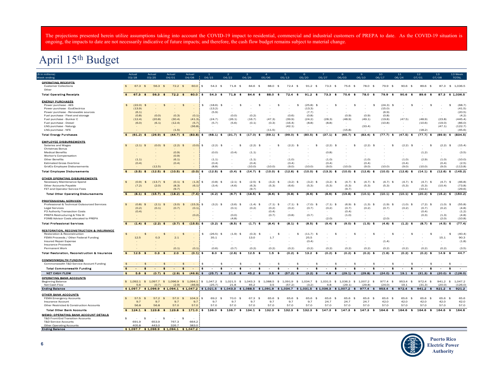The projections presented herein utilize assumptions taking into account the COVID-19 impact to residential, commercial and industrial customers of PREPA to date. As the COVID-19 situation is ongoing, the impacts to date are not necessarily indicative of future impacts; and therefore, the cash flow budget remains subject to material change.

## April 15th Budget

| (\$ in millions<br>Week endins                            |                        | Actua<br>03/18                          | Actua<br>03/25           | Actual<br>04/01                             | Actual<br>04/08                    | 04/15                            | 04/22                                       | 04/29                                                                                                                                             | 05/06                                   | 05/13               | 05/20                        | 05/27                      | 06/03                                                        | 06/10                              | 10 <sub>1</sub><br>06/17                   | ${\bf 11}$<br>06/24                      | 12 <sub>2</sub><br>07/01                                                                                                                                   | 13<br>07/08           | 13 Week<br><b>TOTAL</b> |
|-----------------------------------------------------------|------------------------|-----------------------------------------|--------------------------|---------------------------------------------|------------------------------------|----------------------------------|---------------------------------------------|---------------------------------------------------------------------------------------------------------------------------------------------------|-----------------------------------------|---------------------|------------------------------|----------------------------|--------------------------------------------------------------|------------------------------------|--------------------------------------------|------------------------------------------|------------------------------------------------------------------------------------------------------------------------------------------------------------|-----------------------|-------------------------|
| <b>OPERATING RECEIPTS</b>                                 |                        |                                         |                          |                                             |                                    |                                  |                                             |                                                                                                                                                   |                                         |                     |                              |                            |                                                              |                                    |                                            |                                          |                                                                                                                                                            |                       |                         |
| <b>Customer Collections</b><br>Other                      | \$                     | 67.3<br>\$                              | 56.3                     | $72.2$ \$<br>$\mathbf{\hat{f}}$             | 60.0                               | \$<br>54.3                       | 71.8<br>$\mathbf{\hat{a}}$<br>\$            | 84.6<br>$\mathbf{\hat{a}}$                                                                                                                        | 88.0<br>\$                              | $72.4$ \$           | $91.2$ \$                    | 73.3                       | 75.6 \$<br>\$                                                | 78.0<br>$\mathbf{\hat{S}}$         | 79.9<br>$\mathbf{\hat{a}}$                 | 90.6<br>$\mathbf{\hat{s}}$               | 89.6<br>\$                                                                                                                                                 |                       | 87.3 \$ 1.036.5         |
| <b>Total Operating Receipts</b>                           | $\bullet$              | 67.3 <sup>5</sup>                       | 56.3 <sup>8</sup>        | $72.2*$                                     | $60.0$ \$                          | 54.3                             | 71.8<br>- \$<br>- 18                        | 84.6<br>- \$                                                                                                                                      | 88.0<br>- \$                            | $72.4$ \$           | 91.2 <sup>5</sup>            | 73.3                       | 75.6<br>金<br>- \$                                            | 78.0<br>- 8                        | 79.9<br>- 18                               | 90.6 <sub>5</sub>                        | 89.6<br>- 81                                                                                                                                               | 87.3                  | \$1,036.5               |
| <b>ENERGY PURCHASES</b>                                   |                        |                                         |                          |                                             |                                    |                                  |                                             |                                                                                                                                                   |                                         |                     |                              |                            |                                                              |                                    |                                            |                                          |                                                                                                                                                            |                       |                         |
| Power purchase - AES                                      | \$                     | (22.0)<br>\$                            | $\overline{\phantom{a}}$ | \$                                          | $\frac{4}{5}$                      | \$<br>(18.6)                     | \$<br>$\frac{1}{2}$<br>$\sim$               | $\frac{1}{2}$                                                                                                                                     | $\frac{1}{2}$<br>×,                     | \$                  | (25.8)<br>\$                 | $\sim$                     | $\frac{1}{2}$<br>\$                                          | \$<br>$\overline{\phantom{a}}$     | (24.3)<br>\$                               | \$                                       | \$                                                                                                                                                         | \$<br>$\sim$          | (68.7)                  |
| Power purchase - EcoElectrica                             |                        | (13.9)                                  |                          |                                             |                                    | (13.2)                           |                                             |                                                                                                                                                   |                                         |                     | (13.3)                       |                            |                                                              |                                    | (15.0)                                     |                                          |                                                                                                                                                            |                       | (41.5)                  |
| Power purchase - Renewable sources                        |                        | (6.1)                                   |                          |                                             |                                    | (5.9)                            |                                             |                                                                                                                                                   |                                         |                     | (7.7)                        | $\sim$                     |                                                              |                                    | (6.9)                                      |                                          |                                                                                                                                                            |                       | (20.5)                  |
| Fuel purchase - Fleet and storage                         |                        | (0.8)                                   | (0.0)                    | (0.3)                                       | (0.1)                              |                                  | (0,0)                                       | (0.2)                                                                                                                                             |                                         | (0.6)               | (0.8)                        |                            | (0.9)                                                        | (0.9)                              | (0.8)                                      |                                          |                                                                                                                                                            |                       | (4.2)                   |
| Fuel purchase - Bunker C                                  |                        | (12.4)                                  | (20.8)                   | (30.4)                                      | (41.3)                             | (24.7)                           | (26.1)                                      | (16.7)                                                                                                                                            | (47.3)                                  | (39.9)              | (24.2)                       | (28.3)                     | (48.9)                                                       | (49.1)                             | (19.8)                                     | (47.5)                                   | (48.9)                                                                                                                                                     | (23.8)                | (445.4)                 |
| Fuel purchase - Diesel                                    |                        | (6.0)                                   | (6.1)                    | (12.4)                                      | (5.7)                              | (5.7)                            | (5.6)                                       | (0.1)                                                                                                                                             | (0.3)                                   | (16.4)              | (8.8)                        | (8.8)                      |                                                              |                                    | (10.8)                                     |                                          | (10.6)                                                                                                                                                     | (19.0)                | (86.0)                  |
| LNG purchase - Naturgy                                    |                        |                                         |                          |                                             | (36.8)                             |                                  |                                             |                                                                                                                                                   |                                         | (42.1)              |                              |                            |                                                              | (33.4)                             |                                            |                                          |                                                                                                                                                            | (47.1)                | (122.7)                 |
| LNG purchase - NFE                                        |                        |                                         |                          | (1.5)                                       |                                    |                                  |                                             |                                                                                                                                                   | (11.5)                                  |                     |                              |                            | (15.8)                                                       |                                    |                                            |                                          | (18.2)                                                                                                                                                     |                       | (45.6)                  |
| <b>Total Energy Purchases</b>                             | $\bullet$              | $(61.2)$ \$                             | $(26.9)$ \$              | $(44.7)$ \$                                 | $(83.8)$ \$                        | $(68.1)$ \$                      | $(31.7)$ \$                                 | $(17.0)$ \$                                                                                                                                       | $(59.1)$ \$                             | $(99.0)$ \$         | $(80.5)$ \$                  | $(37.1)$ \$                | $(65.7)$ \$                                                  | $(83.4)$ \$                        | $(77.7)$ \$                                | $(47.5)$ \$                              | $(77.7)$ \$                                                                                                                                                | $(89.9)$ \$           | (834.5)                 |
| <b>EMPLOYEE DISBURSEMENTS</b>                             |                        |                                         |                          |                                             |                                    |                                  |                                             |                                                                                                                                                   |                                         |                     |                              |                            |                                                              |                                    |                                            |                                          |                                                                                                                                                            |                       |                         |
| Salaries and Wages                                        | $\ddot{\bm{r}}$        | (2.1)<br>$\mathbf{f}$                   | (0.0)                    | $(2.2)$ \$                                  | $(0.0)$ $\frac{1}{2}$              | (2.2)                            | - \$<br>- \$                                | (2.2)<br>- \$                                                                                                                                     | -\$                                     | (2.2)<br>- \$       |                              | (2.2)                      | - \$<br>- \$                                                 | (2.2)<br>- \$                      | \$                                         | (2.2)<br>- \$                            | $\ddot{\bm{z}}$                                                                                                                                            | (2.2)<br>- \$         | (15.4)                  |
| Christmas Bonus                                           |                        |                                         |                          |                                             |                                    |                                  |                                             |                                                                                                                                                   |                                         |                     |                              |                            |                                                              |                                    |                                            |                                          |                                                                                                                                                            |                       |                         |
| <b>Medical Benefits</b>                                   |                        |                                         |                          | (0.9)                                       |                                    | (0.0)                            | (0.4)                                       | (1.1)                                                                                                                                             |                                         |                     |                              | (0.8)                      |                                                              |                                    |                                            |                                          | (1.2)                                                                                                                                                      |                       | (3.5)                   |
| Worker's Compensation                                     |                        |                                         |                          | (0.9)                                       |                                    |                                  |                                             |                                                                                                                                                   |                                         |                     |                              |                            |                                                              |                                    |                                            |                                          |                                                                                                                                                            |                       |                         |
| <b>Other Benefits</b>                                     |                        | (1.1)                                   |                          | (6.1)                                       |                                    | (1.1)                            |                                             | (1.1)                                                                                                                                             |                                         | (1.0)               |                              | (1.0)                      |                                                              | (1.0)                              |                                            | (1.0)                                    | (2.9)                                                                                                                                                      | (1.0)                 | (10.0)                  |
| <b>Estimated Gross Overtime</b>                           |                        | (0.4)                                   |                          | (0.4)                                       |                                    | (0.4)                            |                                             | (0.4)                                                                                                                                             | $\overline{\phantom{a}}$                | (0.4)               |                              | (0.4)                      |                                                              | (0.4)                              |                                            | (0.4)                                    |                                                                                                                                                            | (0.4)                 | (2.5)                   |
| GridCo Employee Disbursements                             |                        |                                         | (12.5)                   |                                             |                                    | (8.8)                            |                                             | (10.0)                                                                                                                                            | (10.0)                                  | (9.0)               | (10.0)                       | (9.0)                      | (10.0)                                                       | (9.0)                              | (10.0)                                     | (9.0)                                    | (10.0)                                                                                                                                                     | (9.0)                 | (113.8)                 |
| <b>Total Employee Disbursements</b>                       | $\bullet$              | (3.5)                                   | (12.5)                   | $(10.5)$ \$<br>- 18                         | $(0.0)$ \$                         | $(12.5)$ \$                      | $(0.4)$ \$                                  | $(14.7)$ \$                                                                                                                                       | $(10.0)$ \$                             | $(12.6)$ \$         | $(10.0)$ \$                  | $(13.3)$ \$                | $(10.0)$ \$                                                  | $(12.6)$ \$                        | $(10.0)$ \$                                | $(12.6)$ \$                              | $(14.1)$ \$                                                                                                                                                | $(12.6)$ \$           | (145.2)                 |
| <b>OTHER OPERATING DISBURSEMENTS</b>                      |                        |                                         |                          |                                             |                                    |                                  |                                             |                                                                                                                                                   |                                         |                     |                              |                            |                                                              |                                    |                                            |                                          |                                                                                                                                                            |                       |                         |
| Necessary Maintenance Spend                               | \$                     | (0.9)<br>$\mathbf{\hat{A}}$             | $(13.7)$ \$              | $(0.1)$ \$                                  | $(1.3)$ \$                         | $(0.8)$ \$                       | $(2.1)$ \$                                  | $(2.5)$ \$                                                                                                                                        | $(3.2)$ \$                              | $(3.2)$ \$          | $(3.2)$ \$                   | $(3.2)$ \$                 | $(4.7)$ \$                                                   | $(4.7)$ \$                         | $(4.7)$ \$                                 | $(4.7)$ \$                               | $(4.7)$ \$                                                                                                                                                 | $(4.7)$ \$            | (46.8)                  |
| Other Accounts Payable                                    |                        | (7.2)                                   | (2.0)                    | (8.3)                                       | (6.1)                              | (3.4)                            | (4.6)                                       | (6.3)                                                                                                                                             | (5.3)                                   | (6.6)               | (5.3)                        | (5.3)                      | (5.3)                                                        | (5.3)                              | (5.3)                                      | (5.3)                                    | (5.3)                                                                                                                                                      | (10.4)                | (73.8)                  |
| FET and Operator Service Fees                             |                        |                                         |                          | (9.7)                                       |                                    |                                  |                                             | (9.7)                                                                                                                                             |                                         |                     |                              |                            | (9.7)                                                        |                                    |                                            |                                          | (10.1)                                                                                                                                                     |                       | (29.6)                  |
| <b>Total Other Operating Disbursements</b>                | $\bullet$              | (8.1)<br>-8                             | $(15.7)$ \$              | $(18.2)$ \$                                 | $(7.4)$ \$                         | $(4.2)$ \$                       | $(6.7)$ \$                                  | $(18.5)$ \$                                                                                                                                       | $(8.6)$ \$                              | $(9.8)$ \$          | $(8.6)$ \$                   | $(8.6)$ \$                 | $(19.8)$ \$                                                  | $(10.1)$ \$                        | $(10.1)$ \$                                | $(10.1)$ \$                              | $(20.2)$ \$                                                                                                                                                | $(15.2)$ \$           | (150.2)                 |
| <b>PROFESSIONAL SERVICES</b>                              |                        |                                         |                          |                                             |                                    |                                  |                                             |                                                                                                                                                   |                                         |                     |                              |                            |                                                              |                                    |                                            |                                          |                                                                                                                                                            |                       |                         |
| Professional & Technical Outsourced Services              | \$                     | (0.8)<br>$\mathbf{f}$                   | $(2.1)$ \$               | (3.0)                                       | (15.3)<br>$\mathbf{\hat{z}}$       | $\mathbf{\hat{z}}$<br>$(3.2)$ \$ | $(3.6)$ \$                                  | $(1.4)$ \$                                                                                                                                        | $(7.1)$ \$                              | $(7.1)$ \$          | $(7.0)$ \$                   | $(7.1)$ \$                 | $(6.9)$ \$                                                   | $(1.3)$ \$                         | (1.9)<br>$\mathbf{\hat{z}}$                | $(1.0)$ \$                               | $(7.2)$ \$                                                                                                                                                 | $(1.0)$ \$            | (55.8)                  |
| <b>Legal Services</b>                                     |                        | (0.2)                                   | (0.1)                    | (0.7)                                       | (0.1)                              |                                  | (0.1)                                       | (0.2)                                                                                                                                             | (0.2)                                   | (0.2)               | (0.7)                        | (0.2)                      | (0.7)                                                        | (0.2)                              | (0.7)                                      | (0.2)                                    | (0.7)                                                                                                                                                      | (0.2)                 | (4.8)                   |
| P3 Authority Transaction Costs                            |                        | (0.4)                                   |                          |                                             |                                    |                                  |                                             |                                                                                                                                                   | (0.4)                                   |                     |                              |                            | (0.4)                                                        |                                    |                                            |                                          | (0.4)                                                                                                                                                      |                       | (1.2)                   |
| PREPA Restructuring & Title III                           |                        |                                         |                          |                                             | (0.2)                              |                                  | (0.0)                                       |                                                                                                                                                   | (0.7)                                   | (0.8)               | (0.7)                        |                            | (1.0)                                                        |                                    |                                            |                                          | (0.3)                                                                                                                                                      | (1.3)                 | (4.8)                   |
| FOMB Advisor Costs allocated to PREPA                     |                        |                                         |                          |                                             |                                    |                                  | (4.8)                                       |                                                                                                                                                   |                                         |                     |                              | (2.0)                      |                                                              |                                    | (2.0)                                      |                                          |                                                                                                                                                            | (2.0)                 | (10.8)                  |
| <b>Total Professional Services</b>                        | $\bullet$              | $(1.4)$ \$                              | $(2.2)$ \$               | $(3.7)$ \$                                  | $(15.5)$ \$                        | $(3.2)$ \$                       | $(8.5)$ \$                                  | $(1.7)$ \$                                                                                                                                        | (8.4)<br>- 1                            | $(8.1)$ \$          | $(8.5)$ \$                   | $(9.4)$ \$                 | $(9.0)$ \$                                                   | (1.5)<br>- \$                      | (4.6)                                      | $(1.2)$ \$                               | $(8.7)$ \$                                                                                                                                                 | $(4.5)$ \$            | (77.4)                  |
| <b>RESTORATION, RECONSTRUCTION &amp; INSURANCE</b>        |                        |                                         |                          |                                             |                                    |                                  |                                             |                                                                                                                                                   |                                         |                     |                              |                            |                                                              |                                    |                                            |                                          |                                                                                                                                                            |                       |                         |
| Restoration & Reconstruction                              | $$\mathfrak{S}$$       | \$<br>$\sim$                            | ÷                        | \$                                          | $\ddot{\mathbf{z}}$                | \$<br>(26.5)                     | $(1.9)$ \$<br>\$                            | $(0.3)$ \$                                                                                                                                        | $\frac{1}{2}$                           | \$                  | $(11.7)$ \$                  | $\overline{\phantom{a}}$   | \$<br>\$                                                     | \$                                 | \$<br>$\sim$                               | \$                                       | \$                                                                                                                                                         | \$<br>۰.              | (40.4)                  |
| FEMA Proceeds / Other Federal Funding                     |                        | 12.5                                    | 0.3                      | 2.1                                         |                                    | 35.1                             |                                             | 13.0                                                                                                                                              | 1.7                                     |                     | 25.5                         |                            |                                                              |                                    |                                            |                                          |                                                                                                                                                            | 15.1                  | 90.3                    |
| Insured Repair Expense                                    |                        |                                         |                          |                                             |                                    |                                  |                                             |                                                                                                                                                   |                                         |                     | (0.4)                        |                            |                                                              |                                    | (1.4)                                      |                                          |                                                                                                                                                            |                       | (1.8)                   |
| Insurance Proceeds                                        |                        |                                         |                          |                                             |                                    |                                  |                                             |                                                                                                                                                   |                                         |                     |                              |                            |                                                              |                                    |                                            |                                          |                                                                                                                                                            |                       |                         |
| Permanent Work                                            |                        |                                         |                          | (0.1)                                       | (0.1)                              | (0.6)                            | (0.7)                                       | (0.2)                                                                                                                                             | (0.2)                                   | (0.2)               | (0.2)                        | (0.2)                      | (0.2)                                                        | (0.2)                              | (0.2)                                      | (0.2)                                    | (0.2)                                                                                                                                                      | (0.2)                 | (3.5)                   |
| <b>Total Restoration, Reconstruction &amp; Insurance</b>  | $\bullet$              | 12.5<br>$\bullet$                       | 0.3                      | 2.0<br>- 16                                 | $(0.1)$ \$<br>- 1                  | 8.0                              | $(2.6)$ \$<br>ま                             | 12.5<br>- \$                                                                                                                                      | 1.5<br>- \$                             | $(0.2)$ \$          | $13.2*$                      | $(0.2)$ \$                 | $(0.2)$ \$                                                   | $(0.2)$ \$                         | $(1.6)$ \$                                 | $(0.2)$ \$                               | $(0.2)$ \$                                                                                                                                                 | 14.9<br>ま             | 44.7                    |
| <b>COMMONWEALTH FUNDING</b>                               |                        |                                         |                          |                                             |                                    |                                  |                                             |                                                                                                                                                   |                                         |                     |                              |                            |                                                              |                                    |                                            |                                          |                                                                                                                                                            |                       |                         |
| Commonwealth T&D Service Account Funding                  | $\mathbf{\hat{S}}$     | \$<br>$\sim$                            | $\sim$                   | $\mathbf{\hat{S}}$<br>$\sim$                | \$<br>$\sim$                       | \$<br>$\sim$                     | \$<br>- \$<br>$\sim$                        | -\$<br>$\sim$                                                                                                                                     | \$<br>$\sim$                            | \$<br>$\sim$        | $\mathbf{\hat{S}}$<br>$\sim$ | $\sim$                     | \$<br>\$<br>$\sim$                                           | - \$<br>$\sim$                     | \$<br>$\sim$                               | $\mathbf{\hat{z}}$<br>$\sim$             | \$<br>$\sim$                                                                                                                                               | $\sim$<br>- \$        |                         |
| <b>Total Commonwealth Funding</b><br><b>NET CASH FLOW</b> | $\bullet$<br>$\bullet$ | $\bullet$<br>$\sim$<br>5.6 <sub>5</sub> | $\sim$                   | $\bullet$<br>$\sim$                         | $\bullet$<br>$\sim$<br>$(46.9)$ \$ | i s<br>$\sim$                    | $\bullet$<br>$\sim$<br>$21.8*$<br>$\bullet$ | $\bullet$<br>$\bullet$<br>$\sim$<br>45.2<br>$\bullet$                                                                                             | $\bullet$<br>$\sim$<br>3.5<br>$\bullet$ | $\bullet$<br>$\sim$ | $\sim$<br>$(3.2)$ \$         | $\bullet$<br>$\sim$<br>4.8 | $\bullet$<br>$\bullet$<br>$\sim$<br>$(29.1)$ \$<br>$\bullet$ | $\sim$<br>$\bullet$<br>$(29.8)$ \$ | $\sim$<br>$\bullet$<br>(24.0)<br>$\bullet$ | $\sim$<br>$\bullet$<br>19.1<br>$\bullet$ | $\bullet$<br>$\sim$                                                                                                                                        | $\sim$<br>$(20.0)$ \$ | $\bullet$               |
| <b>OPERATING BANK ACCOUNTS</b>                            |                        |                                         | $(0.7)$ \$               | $(2.9)$ \$                                  |                                    | (25.7)                           |                                             |                                                                                                                                                   |                                         | $(57.2)$ \$         |                              |                            |                                                              |                                    |                                            |                                          | $(31.3)$ \$                                                                                                                                                |                       | (126.0)                 |
| <b>Beginning Balance</b>                                  |                        |                                         |                          |                                             |                                    |                                  |                                             | \$ 1,092.1 \$ 1,097.7 \$ 1,096.9 \$ 1,094.1 \$ 1,047.2 \$ 1,021.5 \$ 1,043.3 \$ 1,088.5 \$ 1,091.9 \$ 1,034.7 \$ 1,031.5 \$ 1,036.3 \$ 1,007.2 \$ |                                         |                     |                              |                            |                                                              |                                    | $977.4$ \$                                 | $953.4$ \$                               | $972.4$ \$                                                                                                                                                 | $941.2$ \$            | 1.047.2                 |
| Net Cash Flow                                             |                        | 5.6                                     | (0.7)                    | (2.9)                                       | (46.9)                             | (25.7)                           | 21.8                                        | 45.2                                                                                                                                              | 3.5                                     | (57.2)              | (3.2)                        | 4.8                        | (29.1)                                                       | (29.8)                             | (24.0)                                     | 19.1                                     | (31.3)                                                                                                                                                     | (20.0)                | (126.0)                 |
| <b>Ending Balance</b>                                     |                        |                                         |                          |                                             |                                    |                                  |                                             |                                                                                                                                                   |                                         |                     |                              |                            |                                                              |                                    |                                            |                                          | \$1,097.7 \$1,096.9 \$1,094.1 \$1,047.2 \$1,021.5 \$1,043.3 \$1,088.5 \$1,091.9 \$1,034.7 \$1,031.5 \$1,036.3 \$1,007.2 \$977.4 \$953.4 \$972.4 \$941.2 \$ | $921.2$ \$            | 921.2                   |
| <b>OTHER BANK ACCOUNTS</b>                                |                        |                                         |                          |                                             |                                    |                                  |                                             |                                                                                                                                                   |                                         |                     |                              |                            |                                                              |                                    |                                            |                                          |                                                                                                                                                            |                       |                         |
| <b>FEMA Emergency Accounts</b>                            | \$                     | 57.5<br>$\mathbf{\hat{f}}$              | 57.2                     | 57.0<br>\$                                  | \$<br>104.3                        | \$<br>69.2<br>- \$               | 70.0<br>\$                                  | 67.3<br>\$                                                                                                                                        | 65.6<br>\$                              | 65.6<br>\$          | 65.6<br>- \$                 | 65.6                       | \$<br>65.6<br>-\$                                            | 65.6<br>- \$                       | 65.6<br>- \$                               | 65.6<br>-\$                              | 65.6<br>-\$                                                                                                                                                | 65.6<br>- \$          | 65.6                    |
| Insurance Account                                         |                        | 9.7                                     | 9.7                      | 9.7                                         | 9.7                                | 9.7                              | 9.7                                         | 9.7                                                                                                                                               | 9.7                                     | 9.7                 | 9.7                          | 24.7                       | 24.7                                                         | 24.7                               | 42.0                                       | 42.0                                     | 42.0                                                                                                                                                       | 42.0                  | 42.0                    |
| Other Restricted & Construction Accounts                  |                        | 56.8                                    | 56.8                     | 57.0                                        | 57.0                               | 57.0                             | 57.0                                        | 57.0                                                                                                                                              | 57.0                                    | 57.0                | 57.0                         | 57.0                       | 57.0                                                         | 57.0                               | 57.0                                       | 57.0                                     | 57.0                                                                                                                                                       | 57.0                  | 57.0                    |
| <b>Total Other Bank Accounts</b>                          | $\bullet$              | 124.1<br>$\bullet$                      | 123.8                    | 123.8<br>$\bullet$                          | $1/1.0$   \$<br>$\bullet$          | 136.0                            | 136.7<br>$\bullet$                          | $134.1$ \$<br>$\bullet$                                                                                                                           | 132.3<br>$\bullet$                      | 132.3<br>$\bullet$  | 132.3<br>$\bullet$           | 147.3                      | 147.3<br>$\bullet$                                           | $147.3$ \$<br>$\bullet$            | 164.6<br>$\bullet$                         | 164.6<br>$\ddot{\bullet}$                | 164.6<br>$\bullet$                                                                                                                                         | 164.6<br>$\bullet$    | 164.6                   |
| <b>MEMO: OPERATING BANK ACCOUNT DETAILS</b>               |                        |                                         |                          |                                             |                                    |                                  |                                             |                                                                                                                                                   |                                         |                     |                              |                            |                                                              |                                    |                                            |                                          |                                                                                                                                                            |                       |                         |
| T&D Front-End Transition Accounts                         | \$                     | \$<br>$\sim$                            | $\sim$                   | \$<br>$\sim$                                | \$                                 |                                  |                                             |                                                                                                                                                   |                                         |                     |                              |                            |                                                              |                                    |                                            |                                          |                                                                                                                                                            |                       |                         |
| <b>T&amp;D Service Accounts</b>                           |                        | 691.9                                   | 653.9                    | 767.3                                       | 664.2                              |                                  |                                             |                                                                                                                                                   |                                         |                     |                              |                            |                                                              |                                    |                                            |                                          |                                                                                                                                                            |                       |                         |
| Other Operating Accounts                                  |                        | 405.8                                   | 443.0                    | 326.7                                       | 383.0                              |                                  |                                             |                                                                                                                                                   |                                         |                     |                              |                            |                                                              |                                    |                                            |                                          |                                                                                                                                                            |                       |                         |
| <b>Ending Balance</b>                                     |                        |                                         |                          | $$1,097.7$ $$1,096.9$ $$1,094.1$ $$1,047.2$ |                                    |                                  |                                             |                                                                                                                                                   |                                         |                     |                              |                            |                                                              |                                    |                                            |                                          |                                                                                                                                                            |                       |                         |
|                                                           |                        |                                         |                          |                                             |                                    |                                  |                                             |                                                                                                                                                   |                                         |                     |                              |                            |                                                              |                                    |                                            |                                          |                                                                                                                                                            |                       |                         |



**6**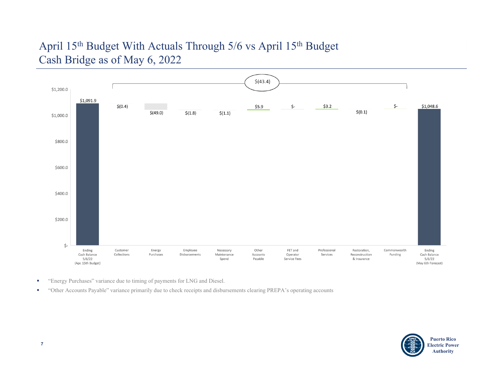## April 15th Budget With Actuals Through 5/6 vs April 15th Budget Cash Bridge as of May 6, 2022



- × "Energy Purchases" variance due to timing of payments for LNG and Diesel.
- $\blacksquare$ "Other Accounts Payable" variance primarily due to check receipts and disbursements clearing PREPA's operating accounts

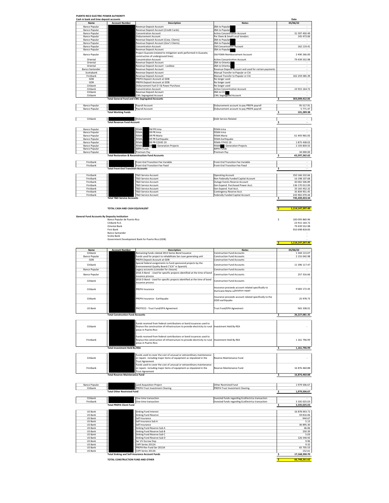| Name                   | <b>Account Number</b>                      | <b>Description</b>                                                                                      | <b>Notes</b>                                          | 05/06/22                       |
|------------------------|--------------------------------------------|---------------------------------------------------------------------------------------------------------|-------------------------------------------------------|--------------------------------|
| <b>Banco Popular</b>   |                                            | Revenue Deposit Account                                                                                 | ZBA to Popular                                        | $\overline{\phantom{a}}$       |
| <b>Banco Popular</b>   |                                            | Revenue Deposit Account (Credit Cards)                                                                  | ZBA to Popular                                        |                                |
| <b>Banco Popular</b>   |                                            | <b>Concentration Account</b>                                                                            | <b>Active Concentration Account</b>                   | 31 597 450.49                  |
| <b>Banco Popular</b>   |                                            | <b>Disbursement Account</b>                                                                             | Per Diem & Small Local Vendors                        | 145 473.06                     |
| <b>Banco Popular</b>   |                                            | Revenue Deposit Account (Corp. Clients)                                                                 | ZBA to Popular                                        | ×.                             |
| <b>Banco Popular</b>   |                                            | Revenue Deposit Account (Gov't Clients)                                                                 | ZBA to Popular                                        | ÷                              |
| <b>Banco Popular</b>   |                                            | <b>Concentration Account</b>                                                                            | Old Concentration Account                             | 162 119.41                     |
| <b>Banco Popular</b>   |                                            | Revenue Deposit Account                                                                                 | ZBA to Popular                                        |                                |
| <b>Banco Popular</b>   |                                            | Project Guavate (related to mitigation work performed in Guavate;<br>construction of underground lines) | Old FEMA Reimbursement Account                        | 2 490 266,00                   |
| Oriental               |                                            | <b>Concentration Account</b>                                                                            | <b>Active Concentration Account</b>                   | 79 439 552.98                  |
| Oriental               |                                            | Revenue Deposit Account                                                                                 | ZBA to Orienta                                        |                                |
| Oriental               |                                            | Revenue Deposit Account - Lockbox                                                                       | ZBA to Orienta                                        | $\overline{\phantom{a}}$       |
| <b>Banco Santander</b> |                                            | Revenue Deposit Account                                                                                 | Revenue Deposit Account and used for certain payments | ٠                              |
| Scotiabank             |                                            | Revenue Deposit Account                                                                                 | Manual Transfer to Popular or Citi                    | ÷                              |
| Firstbank              |                                            | Revenue Deposit Account                                                                                 | Manual Transfer to Popular or Citi                    | 165 259 385.39                 |
| GDB                    |                                            | PREPA Deposit Account at GDB                                                                            | No longer used                                        |                                |
| GDB                    |                                            | PREPA Deposit Account at GDB                                                                            | No longer used                                        | ÷                              |
| Citibank               |                                            | Disbursement Fuel O   & Power Purchase                                                                  | No longer used                                        | $\overline{a}$                 |
| Citibank               |                                            | <b>Concentration Account</b>                                                                            | <b>Active Concentration Account</b>                   | 23 915 164.72                  |
| Citibank               |                                            | Revenue Deposit Account                                                                                 | ZBA to Cit                                            |                                |
| Citibank               |                                            | <b>CWL Segregated Account</b>                                                                           | <b>CWL Segregated Account</b>                         | ×.                             |
|                        |                                            | <b>Total General Fund and CWL Segregated Accounts</b>                                                   |                                                       | \$<br>303,009,412.05           |
|                        |                                            |                                                                                                         |                                                       |                                |
| <b>Banco Popular</b>   |                                            | Payroll Account                                                                                         | Disbursement account to pay PREPA payroll             | 95 517.91                      |
| <b>Banco Popular</b>   |                                            | Pavroll Account                                                                                         | Disbursement account to pay PREPA payroll             | 5 771.47                       |
|                        | <b>Total Working Funds</b>                 |                                                                                                         |                                                       | \$<br>101.289.38               |
| Citibank               |                                            | Disbursement                                                                                            | <b>Debt Service Related</b>                           | ٠                              |
|                        | <b>Total Revenue Fund Account</b>          |                                                                                                         |                                                       | \$<br>$\overline{\phantom{a}}$ |
| <b>Banco Popular</b>   |                                            | EM PR Irma<br>FEMA                                                                                      | FEMA Irma                                             | ×.                             |
| <b>Banco Popular</b>   |                                            | FEMA<br><b>DR PR Irma</b>                                                                               | FEMA Irma                                             |                                |
| <b>Banco Popular</b>   |                                            | FEMA<br><b>DR PR Maria</b>                                                                              | <b>FEMA Maria</b>                                     | 61 493 965.05                  |
| <b>Banco Popular</b>   |                                            | OR PR Earthquake<br>FEMA                                                                                | <b>FEMA Earthquake</b>                                |                                |
| <b>Banco Popular</b>   |                                            | OR PR COVID 19<br>FEMA                                                                                  | FEMA COVID 19                                         | 1875 438.02                    |
| <b>Banco Popular</b>   |                                            | FEMA<br><b>Generation Projects</b>                                                                      | <b>Generation Projects</b><br>FEMA                    | 2 193 859.55                   |
| <b>Banco Popular</b>   |                                            | <b>ARPA Funds</b>                                                                                       | <b>ARPA Funds</b>                                     |                                |
| <b>Banco Popular</b>   |                                            | Premium Pay                                                                                             | Premium Pay                                           | 34 000.00                      |
|                        |                                            | <b>Total Restoration &amp; Reconstruction Fund Accounts</b>                                             |                                                       | 65.597.262.62<br>s             |
| Firsthank              |                                            | Front-End Transition Fee Variable                                                                       | <b>Front-End Transition Fee Variable</b>              | $\overline{\phantom{a}}$       |
| Firstbank              |                                            | Front-End Transition Fee Fixed                                                                          | Front-End Transition Fee Fixed                        | ٠                              |
|                        | <b>Total Front-End Transition Accounts</b> |                                                                                                         |                                                       | 5<br>$\overline{\phantom{a}}$  |
| Firstbank              |                                            | T&D Service Account                                                                                     | <b>Operating Account</b>                              | 250 166 332.66                 |
| Firstbank              |                                            | T&D Service Account                                                                                     | Non Federally Funded Capital Account                  | 16 198 107.68                  |
| Firsthank              |                                            | <b>RD Service Account</b>                                                                               | Outage Events Reserve Account                         | 30.002.506.89                  |
| Firstbank              |                                            | T&D Service Account                                                                                     | Gen Expend. Purchased Power Acct.                     | 136 170 012.00                 |
| Firstbank              |                                            | <b>F&amp;D Service Account</b>                                                                          | Gen Expend. Fuel Acct.                                | 33 165 452.32                  |
| Firstbank              |                                            | <b>F&amp;D Service Account</b>                                                                          | Contingency Reserve Acct.                             | 35 834 951.45                  |
|                        |                                            | T&D Service Account                                                                                     |                                                       |                                |
| Firstbank              |                                            |                                                                                                         | Federally Funded Capital Account                      | 243 902 070.44                 |

**TOTAL CASH AND CASH EQUIVALENT \$ 1,114,147,397.49**

| <b>General Fund Accounts By Deposity Institution</b> |                  |
|------------------------------------------------------|------------------|
| Banco Popular de Puerto Rico                         | 100 093 860.96   |
| Citibank N.A.                                        | 23 915 164.72    |
| Oriental Bank                                        | 79 439 552.98    |
| First Bank                                           | 910 698 818.83   |
| <b>Banco Santander</b>                               |                  |
| Scotia Bank                                          |                  |
| Government Development Bank for Puerto Rico (GDB)    | $\sim$           |
|                                                      | 1,114,147,397.49 |

| Name                 | <b>Account Number</b>                   | <b>Description</b>                                                                                | <b>Notes</b>                                           |    | 05/06/22      |
|----------------------|-----------------------------------------|---------------------------------------------------------------------------------------------------|--------------------------------------------------------|----|---------------|
| Citibank             |                                         | Remaining funds related 2013 Series Bond Issuance                                                 | <b>Construction Fund Accounts</b>                      |    | 1 544 115.07  |
| <b>Banco Popular</b> |                                         | Funds used for project to rehabilitate San Juan generating unit                                   | <b>Construction Fund Accounts</b>                      |    | 2 155 042 98  |
| GDB                  |                                         | PREPA Deposit Account at GDB                                                                      | <b>Construction Fund Accounts</b>                      |    |               |
| Citibank             |                                         | Special federal assignments to fund sponsored projects by the                                     | <b>Construction Fund Accounts</b>                      |    |               |
|                      |                                         | Environmental Quality Board ("JCA" in Spanish)                                                    |                                                        |    | 11 596 117.47 |
| <b>Banco Popular</b> |                                         | Legacy accounts (consider for closure)                                                            | <b>Construction Fund Accounts</b>                      |    |               |
| <b>Banco Popular</b> |                                         | 2016 A Bond - Used for specific projects identified at the time of bond                           | <b>Construction Fund Accounts</b>                      |    | 257 316.66    |
|                      |                                         | issuance process                                                                                  |                                                        |    |               |
| Citibank             |                                         | 2016 D Bond - Used for specific projects identified at the time of bond                           | <b>Construction Fund Accounts</b>                      |    |               |
|                      |                                         | issuance process                                                                                  |                                                        |    |               |
|                      |                                         |                                                                                                   | Insurance proceeds account related specifically to     |    |               |
| Citibank             |                                         | PREPA Insurance                                                                                   | Hurricane Maria substation repair                      |    | 9 683 172.43  |
|                      |                                         |                                                                                                   |                                                        |    |               |
|                      |                                         |                                                                                                   | Insurance proceeds account related specifically to the |    |               |
| Citibank             |                                         | PREPA Insurance - Earthquake                                                                      | 2020 earthquake                                        |    | 25 978.73     |
|                      |                                         |                                                                                                   |                                                        |    |               |
|                      |                                         |                                                                                                   |                                                        |    |               |
| <b>US Bank</b>       |                                         | PROTECO - Trust Fund/EPA Agreement                                                                | <b>Trust Fund/EPA Agreement</b>                        |    | 965 338.01    |
|                      | <b>Total Construction Fund Accounts</b> |                                                                                                   |                                                        | Ś  | 26.227.081.35 |
|                      |                                         |                                                                                                   |                                                        |    |               |
|                      |                                         |                                                                                                   |                                                        |    |               |
|                      |                                         | Funds received from federal contributions or bond issuances used to                               |                                                        |    |               |
| Citibank             |                                         | finance the construction of infrastructure to provide electricity to rural Investment Held By REA |                                                        |    |               |
|                      |                                         | areas in Puerto Rico                                                                              |                                                        |    |               |
|                      |                                         |                                                                                                   |                                                        |    |               |
|                      |                                         | Funds received from federal contributions or bond issuances used to                               |                                                        |    |               |
| Firsthank            |                                         | finance the construction of infrastructure to provide electricity to rural Investment Held By REA |                                                        |    | 1 161 796 99  |
|                      |                                         | areas in Puerto Rico                                                                              |                                                        |    |               |
|                      | <b>Total Investment Held By REA</b>     |                                                                                                   |                                                        | s. | 1.161.796.99  |
|                      |                                         |                                                                                                   |                                                        |    |               |
|                      |                                         | Funds used to cover the cost of unusual or extraordinary maintenance                              |                                                        |    |               |
| Citibank             |                                         | or repairs including major items of equipment as stipulated in the                                | Reserve Maintenance Fund                               |    |               |
|                      |                                         | <b>Trust Agreement</b>                                                                            |                                                        |    |               |
|                      |                                         | Funds used to cover the cost of unusual or extraordinary maintenance                              |                                                        |    |               |
| Firsthank            |                                         | or repairs including major items of equipment as stipulated in the                                | Reserve Maintenance Fund                               |    | 16 876 460 88 |
|                      |                                         | <b>Trust Agreement</b>                                                                            |                                                        |    |               |
|                      | <b>Total Reserve Maintenance Fund</b>   |                                                                                                   |                                                        | Ś  | 16.876.460.88 |
|                      |                                         |                                                                                                   |                                                        |    |               |
|                      |                                         |                                                                                                   |                                                        |    |               |
| <b>Banco Popular</b> |                                         | <b>Land Acquisition Project</b>                                                                   | <b>Other Restricted Fund</b>                           |    | 1979 506.67   |
| Citibank             |                                         | <b>PREPA Trust Investment Clearing</b>                                                            | <b>PREPA Trust Investment Clearing</b>                 |    |               |
|                      | <b>Total Other Restricted Fund</b>      |                                                                                                   |                                                        | s  | 1.979.506.67  |
|                      |                                         |                                                                                                   |                                                        |    |               |
| Citibank             |                                         | One-time transaction                                                                              | Invested funds regarding EcoElectrica transaction      |    |               |
| Firsthank            |                                         | One-time transaction                                                                              | Invested funds regarding EcoElectrica transaction      |    | 3335025.03    |

| CILIDAIIR |                                   | <b>UNE-UNIE UdibdCuUN</b>                             | invested funds regarding economical transaction   |                    |
|-----------|-----------------------------------|-------------------------------------------------------|---------------------------------------------------|--------------------|
| Firstbank |                                   | One-time transaction                                  | Invested funds regarding EcoElectrica transaction | 3 3 3 5 0 2 5 .0 3 |
|           | <b>Total PREPA Client Fund</b>    |                                                       |                                                   | 3,335,025.03       |
|           |                                   |                                                       |                                                   |                    |
| US Bank   |                                   | Sinking Fund Interest                                 |                                                   | 16 878 003.72      |
| US Bank   |                                   | Sinking Fund Reserve                                  |                                                   | 59 816.06          |
| US Bank   |                                   | Self Insurance                                        |                                                   | 944.67             |
| US Bank   |                                   | Self Insurance Sub A                                  |                                                   | 5.13               |
| US Bank   |                                   | Self Insurance                                        |                                                   | 36 895.30          |
| US Bank   |                                   | Sinking Fund Reserve Sub A                            |                                                   | 46.06              |
| US Bank   |                                   | Sinking Fund Reserve Sub B                            |                                                   | 250.39             |
| US Bank   |                                   | Sinking Fund Reserve Sub C                            |                                                   | 5.03               |
| US Bank   |                                   | Sinking Fund Reserve Sub D                            |                                                   | 126 546.92         |
| US Bank   |                                   | Ser VV Escrow Dep                                     |                                                   | 9.96               |
| US Bank   |                                   | CAPI Series 2012A                                     |                                                   | 9.32               |
| US Bank   |                                   | PREPA Rev Fund Ser 2013A                              |                                                   | 65 705.53          |
| US Bank   |                                   | CAPI Series 2013A                                     |                                                   | 152.61             |
|           |                                   | <b>Total Sinking and Self-Insurance Account Funds</b> |                                                   | 17,168,390.70      |
|           |                                   |                                                       |                                                   |                    |
|           | TOTAL CONSTRUCTION FUND AND OTHER |                                                       |                                                   | 66.748.261.62      |